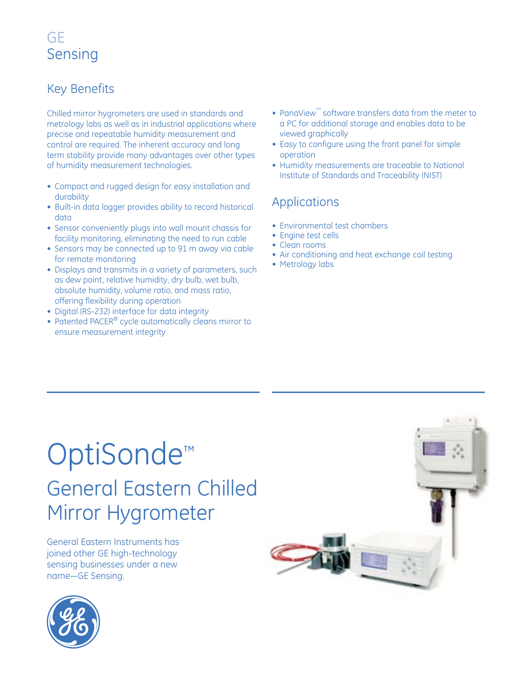### Key Benefits

Chilled mirror hygrometers are used in standards and metrology labs as well as in industrial applications where precise and repeatable humidity measurement and control are required. The inherent accuracy and long term stability provide many advantages over other types of humidity measurement technologies.

- Compact and rugged design for easy installation and durability
- Built-in data logger provides ability to record historical data
- Sensor conveniently plugs into wall mount chassis for facility monitoring, eliminating the need to run cable
- Sensors may be connected up to 91 m away via cable for remote monitoring
- Displays and transmits in a variety of parameters, such as dew point, relative humidity, dry bulb, wet bulb, absolute humidity, volume ratio, and mass ratio, offering flexibility during operation
- Digital (RS-232) interface for data integrity
- Patented PACER<sup>®</sup> cycle automatically cleans mirror to ensure measurement integrity
- PanaView<sup> $M$ </sup> software transfers data from the meter to a PC for additional storage and enables data to be viewed graphically
- Easy to configure using the front panel for simple operation
- Humidity measurements are traceable to National Institute of Standards and Traceability (NIST)

### Applications

- Environmental test chambers
- Engine test cells
- Clean rooms
- Air conditioning and heat exchange coil testing
- Metrology labs

# OptiSonde™ General Eastern Chilled Mirror Hygrometer

General Eastern Instruments has joined other GE high-technology sensing businesses under a new name—GE Sensing.



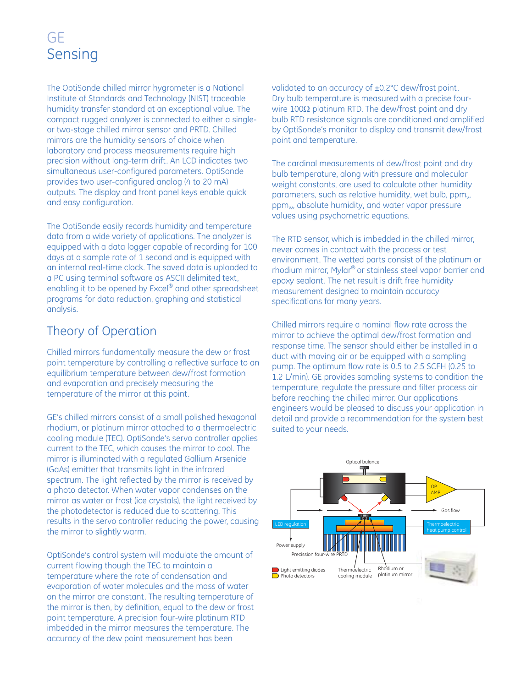The OptiSonde chilled mirror hygrometer is a National Institute of Standards and Technology (NIST) traceable humidity transfer standard at an exceptional value. The compact rugged analyzer is connected to either a singleor two-stage chilled mirror sensor and PRTD. Chilled mirrors are the humidity sensors of choice when laboratory and process measurements require high precision without long-term drift. An LCD indicates two simultaneous user-configured parameters. OptiSonde provides two user-configured analog (4 to 20 mA) outputs. The display and front panel keys enable quick and easy configuration.

The OptiSonde easily records humidity and temperature data from a wide variety of applications. The analyzer is equipped with a data logger capable of recording for 100 days at a sample rate of 1 second and is equipped with an internal real-time clock. The saved data is uploaded to a PC using terminal software as ASCII delimited text, enabling it to be opened by Excel® and other spreadsheet programs for data reduction, graphing and statistical analysis.

### Theory of Operation

Chilled mirrors fundamentally measure the dew or frost point temperature by controlling a reflective surface to an equilibrium temperature between dew/frost formation and evaporation and precisely measuring the temperature of the mirror at this point.

GE's chilled mirrors consist of a small polished hexagonal rhodium, or platinum mirror attached to a thermoelectric cooling module (TEC). OptiSonde's servo controller applies current to the TEC, which causes the mirror to cool. The mirror is illuminated with a regulated Gallium Arsenide (GaAs) emitter that transmits light in the infrared spectrum. The light reflected by the mirror is received by a photo detector. When water vapor condenses on the mirror as water or frost (ice crystals), the light received by the photodetector is reduced due to scattering. This results in the servo controller reducing the power, causing the mirror to slightly warm.

OptiSonde's control system will modulate the amount of current flowing though the TEC to maintain a temperature where the rate of condensation and evaporation of water molecules and the mass of water on the mirror are constant. The resulting temperature of the mirror is then, by definition, equal to the dew or frost point temperature. A precision four-wire platinum RTD imbedded in the mirror measures the temperature. The accuracy of the dew point measurement has been

validated to an accuracy of ±0.2°C dew/frost point. Dry bulb temperature is measured with a precise fourwire 100Ω platinum RTD. The dew/frost point and dry bulb RTD resistance signals are conditioned and amplified by OptiSonde's monitor to display and transmit dew/frost point and temperature.

The cardinal measurements of dew/frost point and dry bulb temperature, along with pressure and molecular weight constants, are used to calculate other humidity parameters, such as relative humidity, wet bulb, ppm<sub>v</sub>, ppm<sub>w</sub>, absolute humidity, and water vapor pressure values using psychometric equations.

The RTD sensor, which is imbedded in the chilled mirror, never comes in contact with the process or test environment. The wetted parts consist of the platinum or rhodium mirror, Mylar® or stainless steel vapor barrier and epoxy sealant. The net result is drift free humidity measurement designed to maintain accuracy specifications for many years.

Chilled mirrors require a nominal flow rate across the mirror to achieve the optimal dew/frost formation and response time. The sensor should either be installed in a duct with moving air or be equipped with a sampling pump. The optimum flow rate is 0.5 to 2.5 SCFH (0.25 to 1.2 L/min). GE provides sampling systems to condition the temperature, regulate the pressure and filter process air before reaching the chilled mirror. Our applications engineers would be pleased to discuss your application in detail and provide a recommendation for the system best suited to your needs.

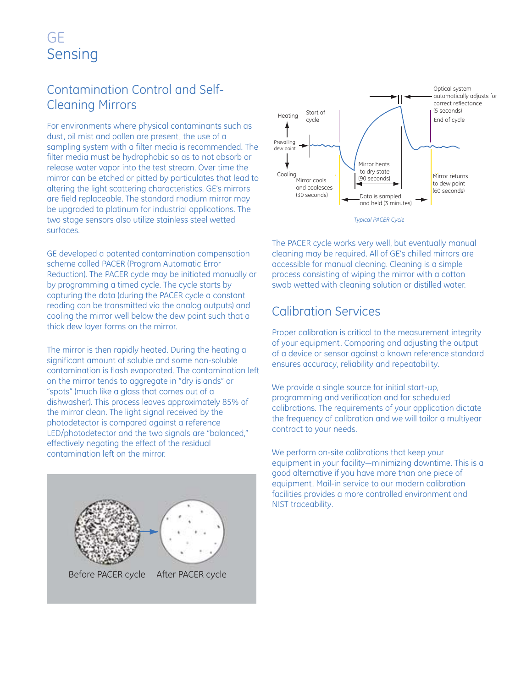### Contamination Control and Self-Cleaning Mirrors

For environments where physical contaminants such as dust, oil mist and pollen are present, the use of a sampling system with a filter media is recommended. The filter media must be hydrophobic so as to not absorb or release water vapor into the test stream. Over time the mirror can be etched or pitted by particulates that lead to altering the light scattering characteristics. GE's mirrors are field replaceable. The standard rhodium mirror may be upgraded to platinum for industrial applications. The two stage sensors also utilize stainless steel wetted surfaces.

GE developed a patented contamination compensation scheme called PACER (Program Automatic Error Reduction). The PACER cycle may be initiated manually or by programming a timed cycle. The cycle starts by capturing the data (during the PACER cycle a constant reading can be transmitted via the analog outputs) and cooling the mirror well below the dew point such that a thick dew layer forms on the mirror.

The mirror is then rapidly heated. During the heating a significant amount of soluble and some non-soluble contamination is flash evaporated. The contamination left on the mirror tends to aggregate in "dry islands" or "spots" (much like a glass that comes out of a dishwasher). This process leaves approximately 85% of the mirror clean. The light signal received by the photodetector is compared against a reference LED/photodetector and the two signals are "balanced," effectively negating the effect of the residual contamination left on the mirror.





The PACER cycle works very well, but eventually manual cleaning may be required. All of GE's chilled mirrors are accessible for manual cleaning. Cleaning is a simple process consisting of wiping the mirror with a cotton swab wetted with cleaning solution or distilled water.

### Calibration Services

Proper calibration is critical to the measurement integrity of your equipment. Comparing and adjusting the output of a device or sensor against a known reference standard ensures accuracy, reliability and repeatability.

We provide a single source for initial start-up, programming and verification and for scheduled calibrations. The requirements of your application dictate the frequency of calibration and we will tailor a multiyear contract to your needs.

We perform on-site calibrations that keep your equipment in your facility—minimizing downtime. This is a good alternative if you have more than one piece of equipment. Mail-in service to our modern calibration facilities provides a more controlled environment and NIST traceability.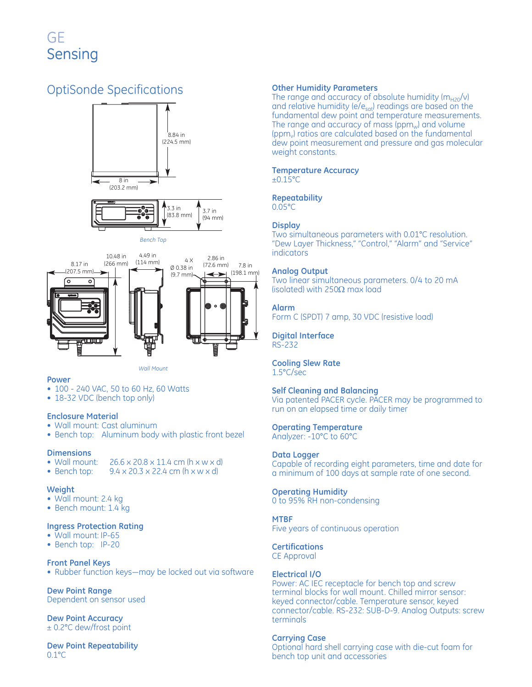### OptiSonde Specifications





*Bench Top*



### **Power**

- 100 240 VAC, 50 to 60 Hz, 60 Watts
- 18-32 VDC (bench top only)

### **Enclosure Material**

- Wall mount: Cast aluminum
- Bench top: Aluminum body with plastic front bezel

- **Dimensions**  • Wall mount:  $26.6 \times 20.8 \times 11.4$  cm (h  $\times$  w  $\times$  d)<br>• Bench top:  $9.4 \times 20.3 \times 22.4$  cm (h  $\times$  w  $\times$  d)
- $9.4 \times 20.3 \times 22.4$  cm (h  $\times w \times d$ )

#### **Weight**

- Wall mount: 2.4 kg
- Bench mount: 1.4 kg

### **Ingress Protection Rating**

- Wall mount: IP-65
- Bench top: IP-20

### **Front Panel Keys**

• Rubber function keys—may be locked out via software

**Dew Point Range**  Dependent on sensor used

**Dew Point Accuracy** ± 0.2°C dew/frost point

**Dew Point Repeatability**  0.1°C

#### **Other Humidity Parameters**

The range and accuracy of absolute humidity ( $m_{H20}/v$ ) and relative humidity (e/e<sub>sat</sub>) readings are based on the fundamental dew point and temperature measurements. The range and accuracy of mass ( $ppm_w$ ) and volume ( $ppm<sub>v</sub>$ ) ratios are calculated based on the fundamental dew point measurement and pressure and gas molecular weight constants.

### **Temperature Accuracy**

 $\pm 0.15$ °C

### **Repeatability**

0.05°C

### **Display**

Two simultaneous parameters with 0.01°C resolution. "Dew Layer Thickness," "Control," "Alarm" and "Service" indicators

### **Analog Output**

Two linear simultaneous parameters. 0/4 to 20 mA (isolated) with 250 $\Omega$  max load

### **Alarm**

Form C (SPDT) 7 amp, 30 VDC (resistive load)

#### **Digital Interface**  RS-232

#### **Cooling Slew Rate**  1.5°C/sec

### **Self Cleaning and Balancing**

Via patented PACER cycle. PACER may be programmed to run on an elapsed time or daily timer

### **Operating Temperature**

Analyzer: -10°C to 60°C

### **Data Logger**

Capable of recording eight parameters, time and date for a minimum of 100 days at sample rate of one second.

### **Operating Humidity**

0 to 95% RH non-condensing

### **MTBF**

Five years of continuous operation

### **Certifications**

CE Approval

### **Electrical I/O**

Power: AC IEC receptacle for bench top and screw terminal blocks for wall mount. Chilled mirror sensor: keyed connector/cable. Temperature sensor, keyed connector/cable. RS-232: SUB-D-9. Analog Outputs: screw terminals

### **Carrying Case**

Optional hard shell carrying case with die-cut foam for bench top unit and accessories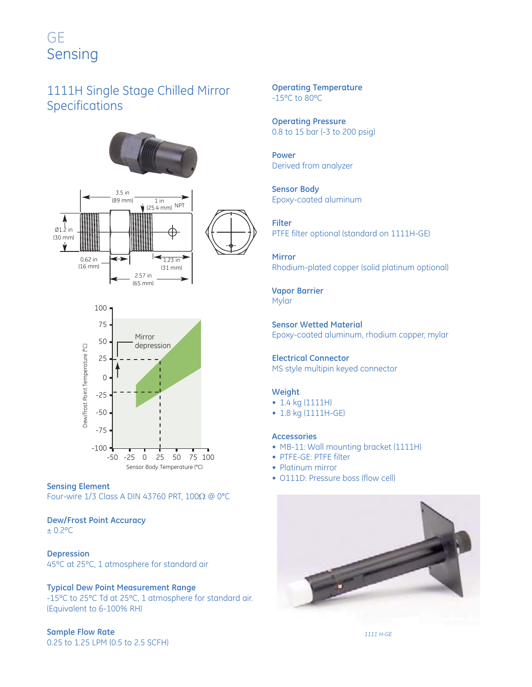### 1111H Single Stage Chilled Mirror Specifications





### **Sensing Element**

Four-wire 1/3 Class A DIN 43760 PRT, 100Ω @ 0°C

### **Dew/Frost Point Accuracy**

± 0.2ºC

### **Depression**

45ºC at 25ºC, 1 atmosphere for standard air

### **Typical Dew Point Measurement Range**

-15ºC to 25ºC Td at 25ºC, 1 atmosphere for standard air. (Equivalent to 6-100% RH)

### **Sample Flow Rate**

0.25 to 1.25 LPM (0.5 to 2.5 SCFH)

**Operating Temperature** -15ºC to 80ºC

**Operating Pressure**  0.8 to 15 bar (-3 to 200 psig)

**Power** Derived from analyzer

**Sensor Body**  Epoxy-coated aluminum

**Filter** PTFE filter optional (standard on 1111H-GE)

**Mirror**  Rhodium-plated copper (solid platinum optional)

**Vapor Barrier**  Mylar

**Sensor Wetted Material** Epoxy-coated aluminum, rhodium copper, mylar

**Electrical Connector** MS style multipin keyed connector

### **Weight**

- 1.4 kg (1111H)
- 1.8 kg (1111H-GE)

### **Accessories**

- MB-11: Wall mounting bracket (1111H)
- PTFE-GE: PTFE filter
- Platinum mirror
- O111D: Pressure boss (flow cell)



*1111 H-GE*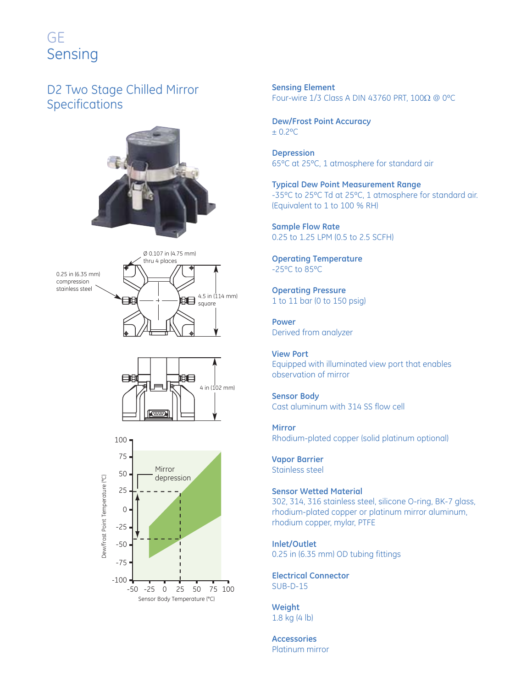### D2 Two Stage Chilled Mirror Specifications









**Sensing Element**  Four-wire 1/3 Class A DIN 43760 PRT, 100Ω @ 0ºC

### **Dew/Frost Point Accuracy**  ± 0.2ºC

**Depression**  65ºC at 25ºC, 1 atmosphere for standard air

**Typical Dew Point Measurement Range**  -35ºC to 25ºC Td at 25ºC, 1 atmosphere for standard air. (Equivalent to 1 to 100 % RH)

**Sample Flow Rate**  0.25 to 1.25 LPM (0.5 to 2.5 SCFH)

**Operating Temperature**  -25ºC to 85ºC

**Operating Pressure**  1 to 11 bar (0 to 150 psig)

**Power** Derived from analyzer

**View Port**  Equipped with illuminated view port that enables observation of mirror

**Sensor Body**  Cast aluminum with 314 SS flow cell

**Mirror**  Rhodium-plated copper (solid platinum optional)

**Vapor Barrier**  Stainless steel

**Sensor Wetted Material** 

302, 314, 316 stainless steel, silicone O-ring, BK-7 glass, rhodium-plated copper or platinum mirror aluminum, rhodium copper, mylar, PTFE

**Inlet/Outlet**  0.25 in (6.35 mm) OD tubing fittings

**Electrical Connector** SUB-D-15

**Weight**  1.8 kg (4 lb)

**Accessories**  Platinum mirror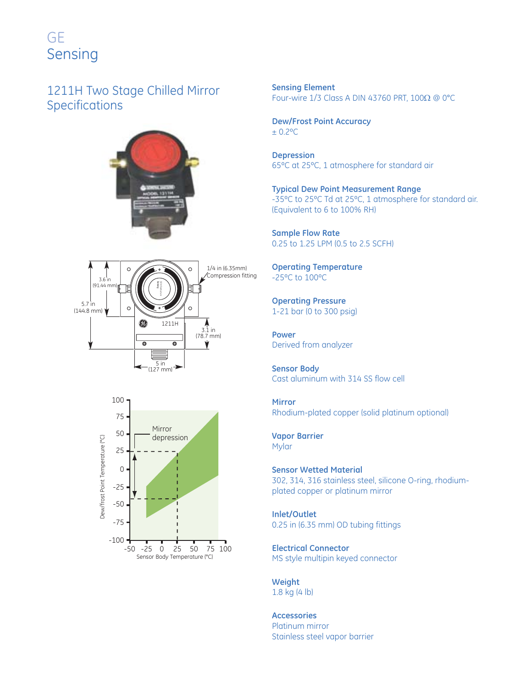### 1211H Two Stage Chilled Mirror Specifications







**Sensing Element**  Four-wire 1/3 Class A DIN 43760 PRT, 100Ω @ 0°C

**Dew/Frost Point Accuracy**  ± 0.2ºC

**Depression**  65ºC at 25ºC, 1 atmosphere for standard air

**Typical Dew Point Measurement Range**  -35ºC to 25ºC Td at 25ºC, 1 atmosphere for standard air. (Equivalent to 6 to 100% RH)

**Sample Flow Rate**  0.25 to 1.25 LPM (0.5 to 2.5 SCFH)

**Operating Temperature**  -25ºC to 100ºC

**Operating Pressure**  1-21 bar (0 to 300 psig)

**Power** Derived from analyzer

**Sensor Body**  Cast aluminum with 314 SS flow cell

**Mirror**  Rhodium-plated copper (solid platinum optional)

**Vapor Barrier**  Mylar

**Sensor Wetted Material**  302, 314, 316 stainless steel, silicone O-ring, rhodiumplated copper or platinum mirror

**Inlet/Outlet**  0.25 in (6.35 mm) OD tubing fittings

**Electrical Connector** MS style multipin keyed connector

**Weight**  1.8 kg (4 lb)

**Accessories**  Platinum mirror Stainless steel vapor barrier